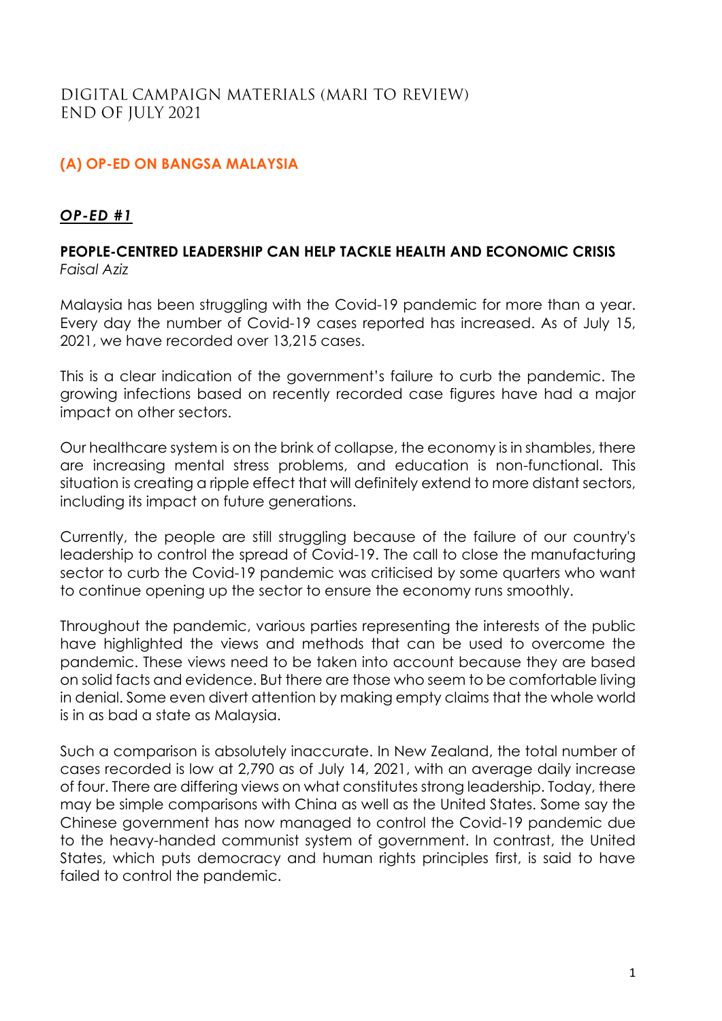# **(A) OP-ED ON BANGSA MALAYSIA**

## *OP-ED #1*

## **PEOPLE-CENTRED LEADERSHIP CAN HELP TACKLE HEALTH AND ECONOMIC CRISIS** *Faisal Aziz*

Malaysia has been struggling with the Covid-19 pandemic for more than a year. Every day the number of Covid-19 cases reported has increased. As of July 15, 2021, we have recorded over 13,215 cases.

This is a clear indication of the government's failure to curb the pandemic. The growing infections based on recently recorded case figures have had a major impact on other sectors.

Our healthcare system is on the brink of collapse, the economy is in shambles, there are increasing mental stress problems, and education is non-functional. This situation is creating a ripple effect that will definitely extend to more distant sectors, including its impact on future generations.

Currently, the people are still struggling because of the failure of our country's leadership to control the spread of Covid-19. The call to close the manufacturing sector to curb the Covid-19 pandemic was criticised by some quarters who want to continue opening up the sector to ensure the economy runs smoothly.

Throughout the pandemic, various parties representing the interests of the public have highlighted the views and methods that can be used to overcome the pandemic. These views need to be taken into account because they are based on solid facts and evidence. But there are those who seem to be comfortable living in denial. Some even divert attention by making empty claims that the whole world is in as bad a state as Malaysia.

Such a comparison is absolutely inaccurate. In New Zealand, the total number of cases recorded is low at 2,790 as of July 14, 2021, with an average daily increase of four. There are differing views on what constitutes strong leadership. Today, there may be simple comparisons with China as well as the United States. Some say the Chinese government has now managed to control the Covid-19 pandemic due to the heavy-handed communist system of government. In contrast, the United States, which puts democracy and human rights principles first, is said to have failed to control the pandemic.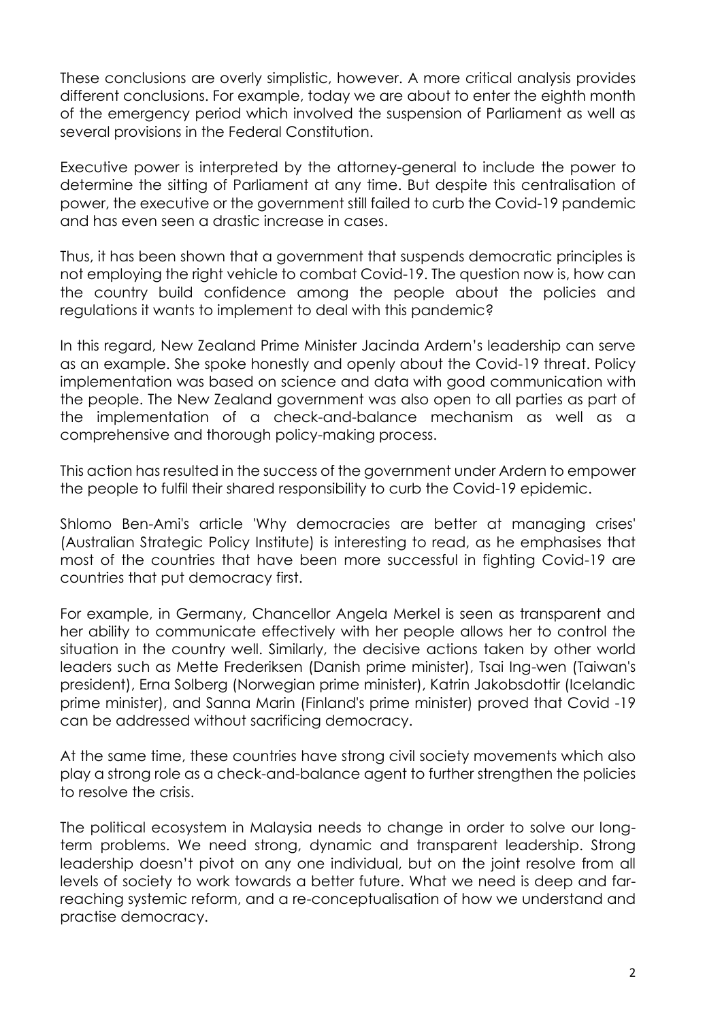These conclusions are overly simplistic, however. A more critical analysis provides different conclusions. For example, today we are about to enter the eighth month of the emergency period which involved the suspension of Parliament as well as several provisions in the Federal Constitution.

Executive power is interpreted by the attorney-general to include the power to determine the sitting of Parliament at any time. But despite this centralisation of power, the executive or the government still failed to curb the Covid-19 pandemic and has even seen a drastic increase in cases.

Thus, it has been shown that a government that suspends democratic principles is not employing the right vehicle to combat Covid-19. The question now is, how can the country build confidence among the people about the policies and regulations it wants to implement to deal with this pandemic?

In this regard, New Zealand Prime Minister Jacinda Ardern's leadership can serve as an example. She spoke honestly and openly about the Covid-19 threat. Policy implementation was based on science and data with good communication with the people. The New Zealand government was also open to all parties as part of the implementation of a check-and-balance mechanism as well as a comprehensive and thorough policy-making process.

This action has resulted in the success of the government under Ardern to empower the people to fulfil their shared responsibility to curb the Covid-19 epidemic.

Shlomo Ben-Ami's article 'Why democracies are better at managing crises' (Australian Strategic Policy Institute) is interesting to read, as he emphasises that most of the countries that have been more successful in fighting Covid-19 are countries that put democracy first.

For example, in Germany, Chancellor Angela Merkel is seen as transparent and her ability to communicate effectively with her people allows her to control the situation in the country well. Similarly, the decisive actions taken by other world leaders such as Mette Frederiksen (Danish prime minister), Tsai Ing-wen (Taiwan's president), Erna Solberg (Norwegian prime minister), Katrin Jakobsdottir (Icelandic prime minister), and Sanna Marin (Finland's prime minister) proved that Covid -19 can be addressed without sacrificing democracy.

At the same time, these countries have strong civil society movements which also play a strong role as a check-and-balance agent to further strengthen the policies to resolve the crisis.

The political ecosystem in Malaysia needs to change in order to solve our longterm problems. We need strong, dynamic and transparent leadership. Strong leadership doesn't pivot on any one individual, but on the joint resolve from all levels of society to work towards a better future. What we need is deep and farreaching systemic reform, and a re-conceptualisation of how we understand and practise democracy.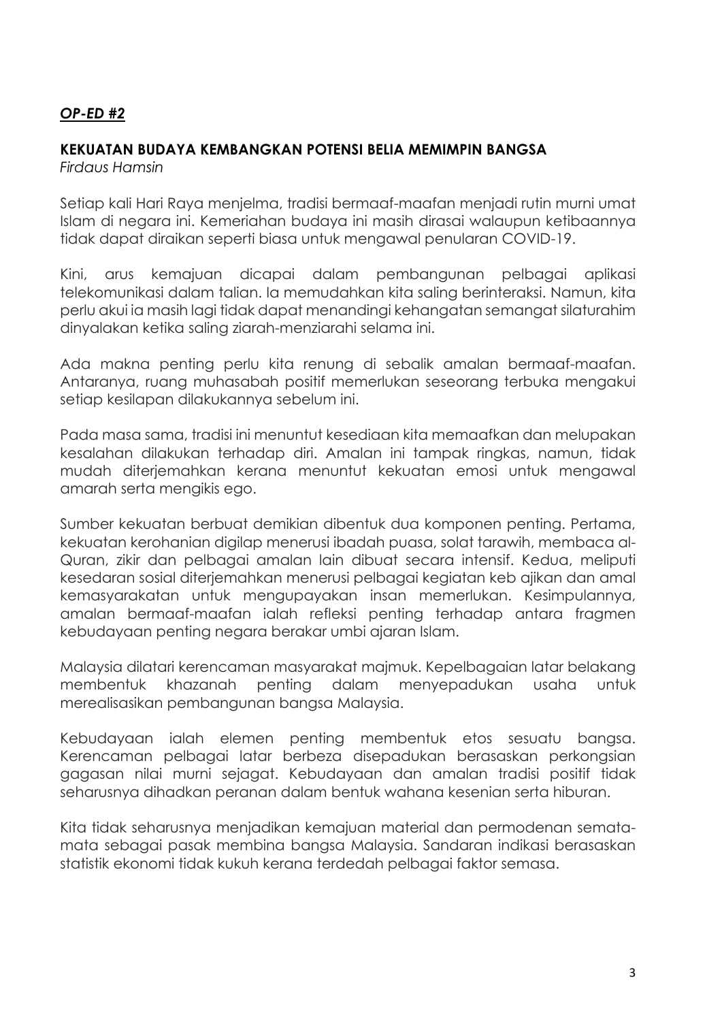# *OP-ED #2*

# **KEKUATAN BUDAYA KEMBANGKAN POTENSI BELIA MEMIMPIN BANGSA**

*Firdaus Hamsin*

Setiap kali Hari Raya menjelma, tradisi bermaaf-maafan menjadi rutin murni umat Islam di negara ini. Kemeriahan budaya ini masih dirasai walaupun ketibaannya tidak dapat diraikan seperti biasa untuk mengawal penularan COVID-19.

Kini, arus kemajuan dicapai dalam pembangunan pelbagai aplikasi telekomunikasi dalam talian. Ia memudahkan kita saling berinteraksi. Namun, kita perlu akui ia masih lagi tidak dapat menandingi kehangatan semangat silaturahim dinyalakan ketika saling ziarah-menziarahi selama ini.

Ada makna penting perlu kita renung di sebalik amalan bermaaf-maafan. Antaranya, ruang muhasabah positif memerlukan seseorang terbuka mengakui setiap kesilapan dilakukannya sebelum ini.

Pada masa sama, tradisi ini menuntut kesediaan kita memaafkan dan melupakan kesalahan dilakukan terhadap diri. Amalan ini tampak ringkas, namun, tidak mudah diterjemahkan kerana menuntut kekuatan emosi untuk mengawal amarah serta mengikis ego.

Sumber kekuatan berbuat demikian dibentuk dua komponen penting. Pertama, kekuatan kerohanian digilap menerusi ibadah puasa, solat tarawih, membaca al-Quran, zikir dan pelbagai amalan lain dibuat secara intensif. Kedua, meliputi kesedaran sosial diterjemahkan menerusi pelbagai kegiatan keb ajikan dan amal kemasyarakatan untuk mengupayakan insan memerlukan. Kesimpulannya, amalan bermaaf-maafan ialah refleksi penting terhadap antara fragmen kebudayaan penting negara berakar umbi ajaran Islam.

Malaysia dilatari kerencaman masyarakat majmuk. Kepelbagaian latar belakang membentuk khazanah penting dalam menyepadukan usaha untuk merealisasikan pembangunan bangsa Malaysia.

Kebudayaan ialah elemen penting membentuk etos sesuatu bangsa. Kerencaman pelbagai latar berbeza disepadukan berasaskan perkongsian gagasan nilai murni sejagat. Kebudayaan dan amalan tradisi positif tidak seharusnya dihadkan peranan dalam bentuk wahana kesenian serta hiburan.

Kita tidak seharusnya menjadikan kemajuan material dan permodenan sematamata sebagai pasak membina bangsa Malaysia. Sandaran indikasi berasaskan statistik ekonomi tidak kukuh kerana terdedah pelbagai faktor semasa.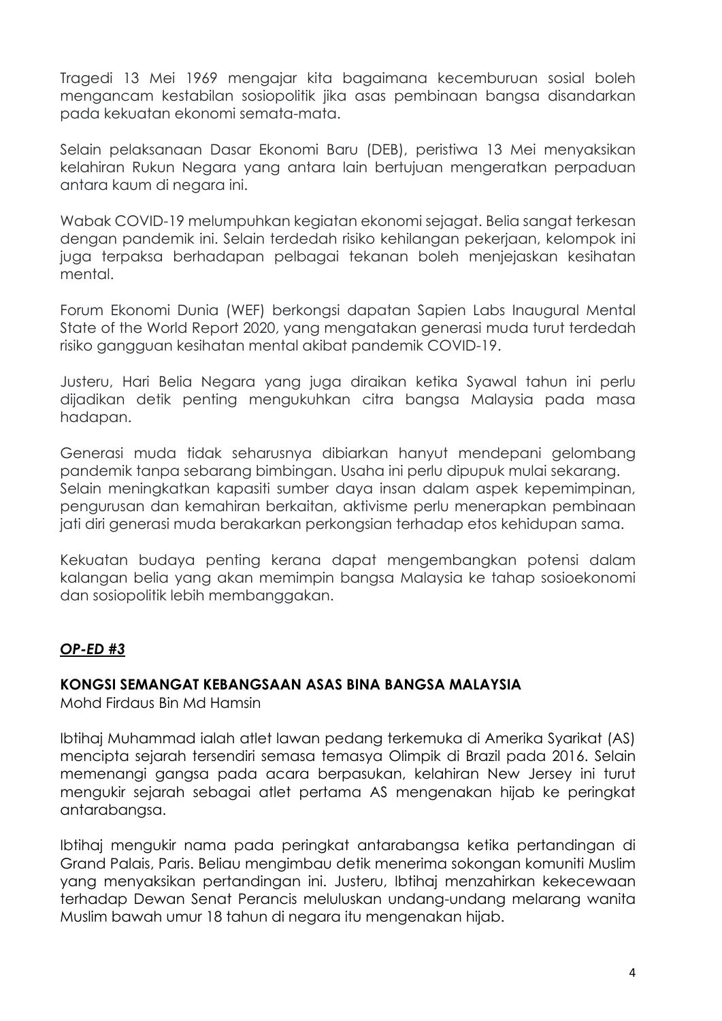Tragedi 13 Mei 1969 mengajar kita bagaimana kecemburuan sosial boleh mengancam kestabilan sosiopolitik jika asas pembinaan bangsa disandarkan pada kekuatan ekonomi semata-mata.

Selain pelaksanaan Dasar Ekonomi Baru (DEB), peristiwa 13 Mei menyaksikan kelahiran Rukun Negara yang antara lain bertujuan mengeratkan perpaduan antara kaum di negara ini.

Wabak COVID-19 melumpuhkan kegiatan ekonomi sejagat. Belia sangat terkesan dengan pandemik ini. Selain terdedah risiko kehilangan pekerjaan, kelompok ini juga terpaksa berhadapan pelbagai tekanan boleh menjejaskan kesihatan mental.

Forum Ekonomi Dunia (WEF) berkongsi dapatan Sapien Labs Inaugural Mental State of the World Report 2020, yang mengatakan generasi muda turut terdedah risiko gangguan kesihatan mental akibat pandemik COVID-19.

Justeru, Hari Belia Negara yang juga diraikan ketika Syawal tahun ini perlu dijadikan detik penting mengukuhkan citra bangsa Malaysia pada masa hadapan.

Generasi muda tidak seharusnya dibiarkan hanyut mendepani gelombang pandemik tanpa sebarang bimbingan. Usaha ini perlu dipupuk mulai sekarang. Selain meningkatkan kapasiti sumber daya insan dalam aspek kepemimpinan, pengurusan dan kemahiran berkaitan, aktivisme perlu menerapkan pembinaan jati diri generasi muda berakarkan perkongsian terhadap etos kehidupan sama.

Kekuatan budaya penting kerana dapat mengembangkan potensi dalam kalangan belia yang akan memimpin bangsa Malaysia ke tahap sosioekonomi dan sosiopolitik lebih membanggakan.

# *OP-ED #3*

#### **KONGSI SEMANGAT KEBANGSAAN ASAS BINA BANGSA MALAYSIA**

Mohd Firdaus Bin Md Hamsin

Ibtihaj Muhammad ialah atlet lawan pedang terkemuka di Amerika Syarikat (AS) mencipta sejarah tersendiri semasa temasya Olimpik di Brazil pada 2016. Selain memenangi gangsa pada acara berpasukan, kelahiran New Jersey ini turut mengukir sejarah sebagai atlet pertama AS mengenakan hijab ke peringkat antarabangsa.

Ibtihaj mengukir nama pada peringkat antarabangsa ketika pertandingan di Grand Palais, Paris. Beliau mengimbau detik menerima sokongan komuniti Muslim yang menyaksikan pertandingan ini. Justeru, Ibtihaj menzahirkan kekecewaan terhadap Dewan Senat Perancis meluluskan undang-undang melarang wanita Muslim bawah umur 18 tahun di negara itu mengenakan hijab.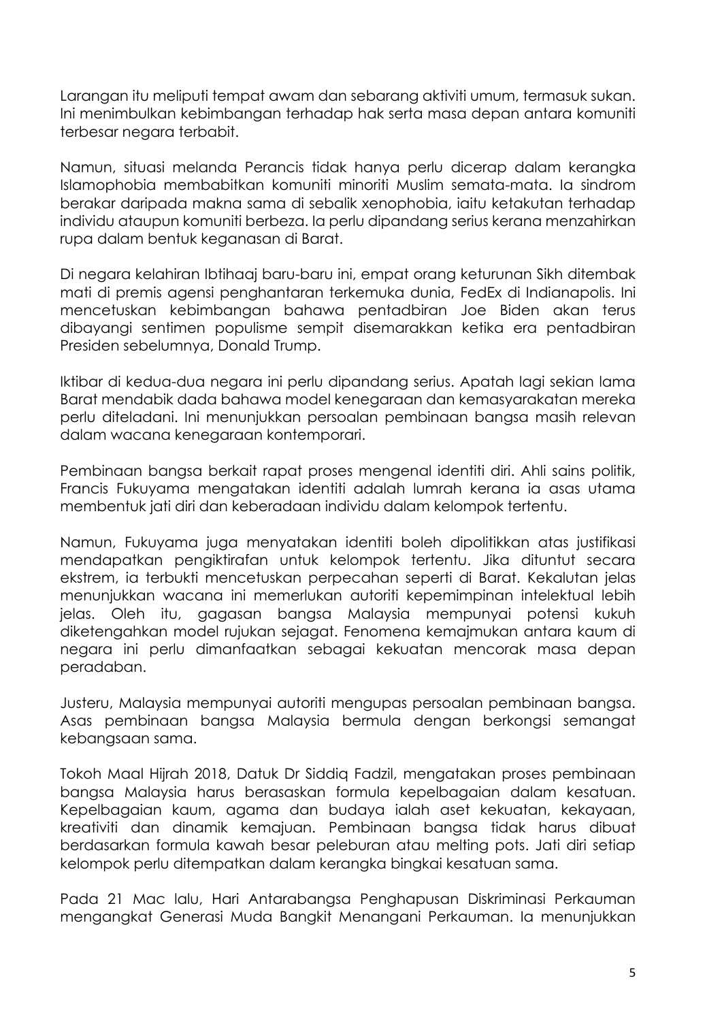Larangan itu meliputi tempat awam dan sebarang aktiviti umum, termasuk sukan. Ini menimbulkan kebimbangan terhadap hak serta masa depan antara komuniti terbesar negara terbabit.

Namun, situasi melanda Perancis tidak hanya perlu dicerap dalam kerangka Islamophobia membabitkan komuniti minoriti Muslim semata-mata. Ia sindrom berakar daripada makna sama di sebalik xenophobia, iaitu ketakutan terhadap individu ataupun komuniti berbeza. Ia perlu dipandang serius kerana menzahirkan rupa dalam bentuk keganasan di Barat.

Di negara kelahiran Ibtihaaj baru-baru ini, empat orang keturunan Sikh ditembak mati di premis agensi penghantaran terkemuka dunia, FedEx di Indianapolis. Ini mencetuskan kebimbangan bahawa pentadbiran Joe Biden akan terus dibayangi sentimen populisme sempit disemarakkan ketika era pentadbiran Presiden sebelumnya, Donald Trump.

Iktibar di kedua-dua negara ini perlu dipandang serius. Apatah lagi sekian lama Barat mendabik dada bahawa model kenegaraan dan kemasyarakatan mereka perlu diteladani. Ini menunjukkan persoalan pembinaan bangsa masih relevan dalam wacana kenegaraan kontemporari.

Pembinaan bangsa berkait rapat proses mengenal identiti diri. Ahli sains politik, Francis Fukuyama mengatakan identiti adalah lumrah kerana ia asas utama membentuk jati diri dan keberadaan individu dalam kelompok tertentu.

Namun, Fukuyama juga menyatakan identiti boleh dipolitikkan atas justifikasi mendapatkan pengiktirafan untuk kelompok tertentu. Jika dituntut secara ekstrem, ia terbukti mencetuskan perpecahan seperti di Barat. Kekalutan jelas menunjukkan wacana ini memerlukan autoriti kepemimpinan intelektual lebih jelas. Oleh itu, gagasan bangsa Malaysia mempunyai potensi kukuh diketengahkan model rujukan sejagat. Fenomena kemajmukan antara kaum di negara ini perlu dimanfaatkan sebagai kekuatan mencorak masa depan peradaban.

Justeru, Malaysia mempunyai autoriti mengupas persoalan pembinaan bangsa. Asas pembinaan bangsa Malaysia bermula dengan berkongsi semangat kebangsaan sama.

Tokoh Maal Hijrah 2018, Datuk Dr Siddiq Fadzil, mengatakan proses pembinaan bangsa Malaysia harus berasaskan formula kepelbagaian dalam kesatuan. Kepelbagaian kaum, agama dan budaya ialah aset kekuatan, kekayaan, kreativiti dan dinamik kemajuan. Pembinaan bangsa tidak harus dibuat berdasarkan formula kawah besar peleburan atau melting pots. Jati diri setiap kelompok perlu ditempatkan dalam kerangka bingkai kesatuan sama.

Pada 21 Mac lalu, Hari Antarabangsa Penghapusan Diskriminasi Perkauman mengangkat Generasi Muda Bangkit Menangani Perkauman. Ia menunjukkan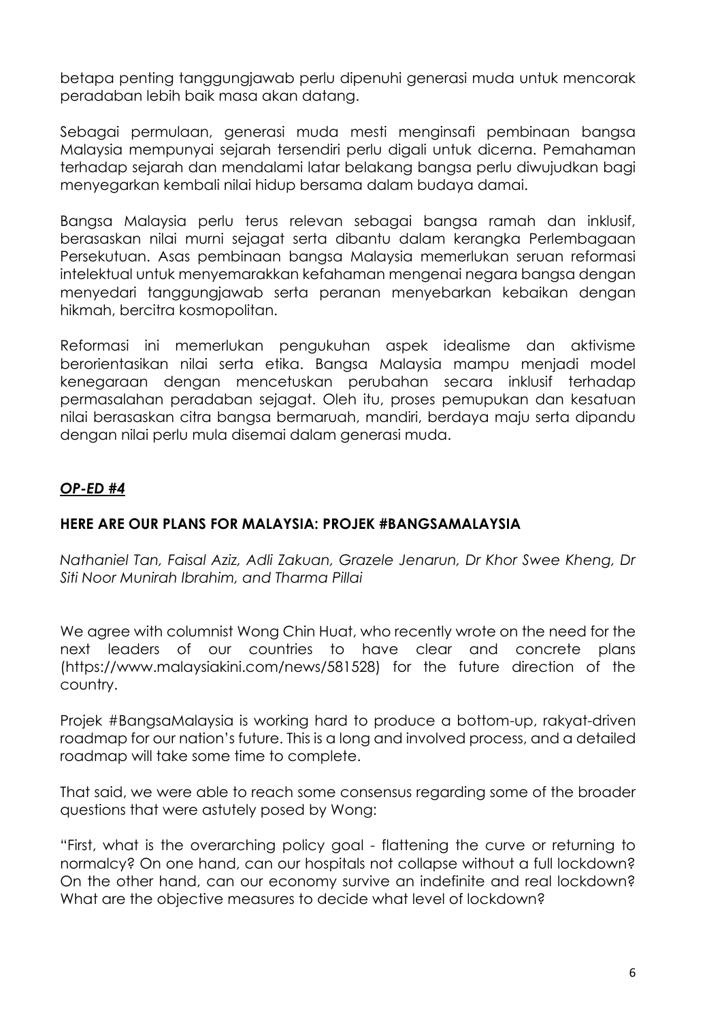betapa penting tanggungjawab perlu dipenuhi generasi muda untuk mencorak peradaban lebih baik masa akan datang.

Sebagai permulaan, generasi muda mesti menginsafi pembinaan bangsa Malaysia mempunyai sejarah tersendiri perlu digali untuk dicerna. Pemahaman terhadap sejarah dan mendalami latar belakang bangsa perlu diwujudkan bagi menyegarkan kembali nilai hidup bersama dalam budaya damai.

Bangsa Malaysia perlu terus relevan sebagai bangsa ramah dan inklusif, berasaskan nilai murni sejagat serta dibantu dalam kerangka Perlembagaan Persekutuan. Asas pembinaan bangsa Malaysia memerlukan seruan reformasi intelektual untuk menyemarakkan kefahaman mengenai negara bangsa dengan menyedari tanggungjawab serta peranan menyebarkan kebaikan dengan hikmah, bercitra kosmopolitan.

Reformasi ini memerlukan pengukuhan aspek idealisme dan aktivisme berorientasikan nilai serta etika. Bangsa Malaysia mampu menjadi model kenegaraan dengan mencetuskan perubahan secara inklusif terhadap permasalahan peradaban sejagat. Oleh itu, proses pemupukan dan kesatuan nilai berasaskan citra bangsa bermaruah, mandiri, berdaya maju serta dipandu dengan nilai perlu mula disemai dalam generasi muda.

## *OP-ED #4*

#### **HERE ARE OUR PLANS FOR MALAYSIA: PROJEK #BANGSAMALAYSIA**

*Nathaniel Tan, Faisal Aziz, Adli Zakuan, Grazele Jenarun, Dr Khor Swee Kheng, Dr Siti Noor Munirah Ibrahim, and Tharma Pillai*

We agree with columnist Wong Chin Huat, who recently wrote on the need for the next leaders of our countries to have clear and concrete plans (https://www.malaysiakini.com/news/581528) for the future direction of the country.

Projek #BangsaMalaysia is working hard to produce a bottom-up, rakyat-driven roadmap for our nation's future. This is a long and involved process, and a detailed roadmap will take some time to complete.

That said, we were able to reach some consensus regarding some of the broader questions that were astutely posed by Wong:

"First, what is the overarching policy goal - flattening the curve or returning to normalcy? On one hand, can our hospitals not collapse without a full lockdown? On the other hand, can our economy survive an indefinite and real lockdown? What are the objective measures to decide what level of lockdown?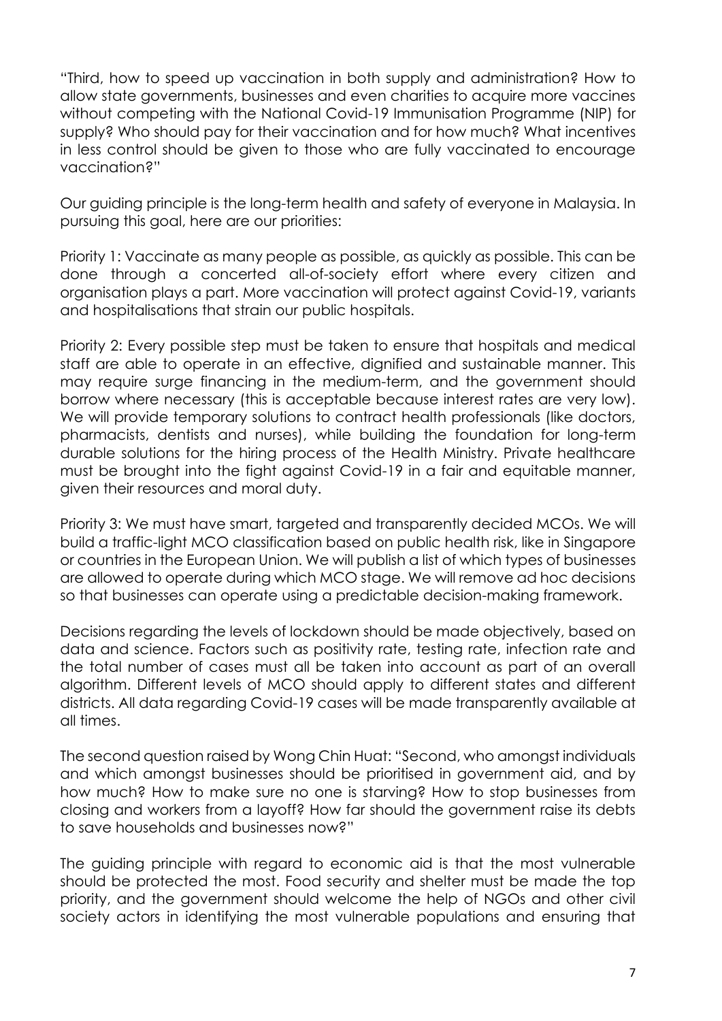"Third, how to speed up vaccination in both supply and administration? How to allow state governments, businesses and even charities to acquire more vaccines without competing with the National Covid-19 Immunisation Programme (NIP) for supply? Who should pay for their vaccination and for how much? What incentives in less control should be given to those who are fully vaccinated to encourage vaccination?"

Our guiding principle is the long-term health and safety of everyone in Malaysia. In pursuing this goal, here are our priorities:

Priority 1: Vaccinate as many people as possible, as quickly as possible. This can be done through a concerted all-of-society effort where every citizen and organisation plays a part. More vaccination will protect against Covid-19, variants and hospitalisations that strain our public hospitals.

Priority 2: Every possible step must be taken to ensure that hospitals and medical staff are able to operate in an effective, dignified and sustainable manner. This may require surge financing in the medium-term, and the government should borrow where necessary (this is acceptable because interest rates are very low). We will provide temporary solutions to contract health professionals (like doctors, pharmacists, dentists and nurses), while building the foundation for long-term durable solutions for the hiring process of the Health Ministry. Private healthcare must be brought into the fight against Covid-19 in a fair and equitable manner, given their resources and moral duty.

Priority 3: We must have smart, targeted and transparently decided MCOs. We will build a traffic-light MCO classification based on public health risk, like in Singapore or countries in the European Union. We will publish a list of which types of businesses are allowed to operate during which MCO stage. We will remove ad hoc decisions so that businesses can operate using a predictable decision-making framework.

Decisions regarding the levels of lockdown should be made objectively, based on data and science. Factors such as positivity rate, testing rate, infection rate and the total number of cases must all be taken into account as part of an overall algorithm. Different levels of MCO should apply to different states and different districts. All data regarding Covid-19 cases will be made transparently available at all times.

The second question raised by Wong Chin Huat: "Second, who amongst individuals and which amongst businesses should be prioritised in government aid, and by how much? How to make sure no one is starving? How to stop businesses from closing and workers from a layoff? How far should the government raise its debts to save households and businesses now?"

The guiding principle with regard to economic aid is that the most vulnerable should be protected the most. Food security and shelter must be made the top priority, and the government should welcome the help of NGOs and other civil society actors in identifying the most vulnerable populations and ensuring that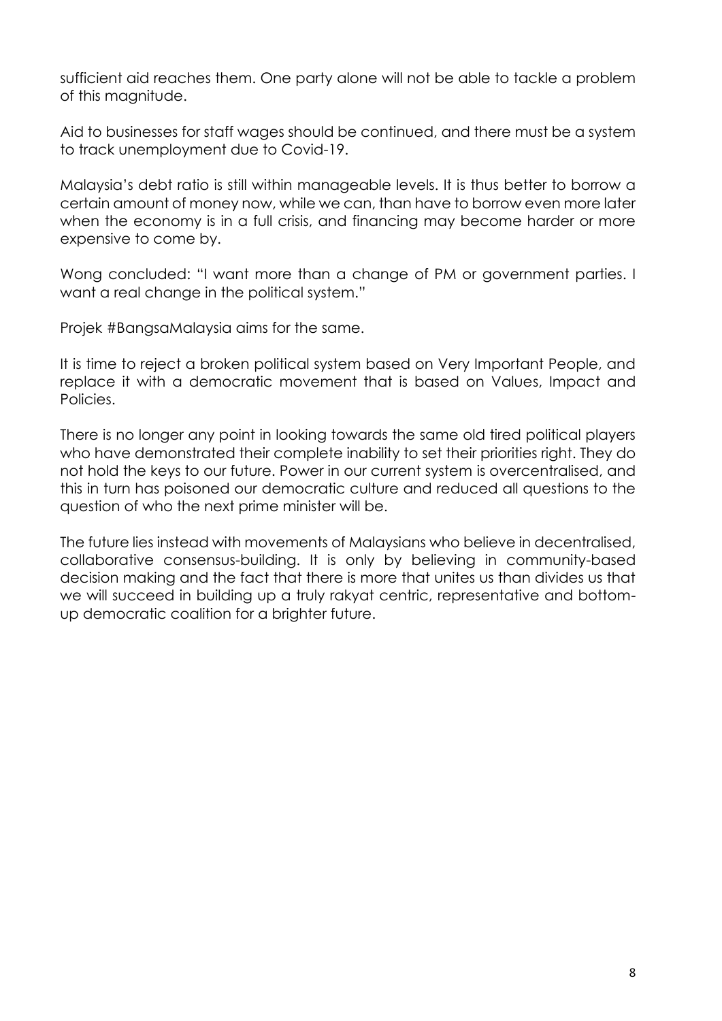sufficient aid reaches them. One party alone will not be able to tackle a problem of this magnitude.

Aid to businesses for staff wages should be continued, and there must be a system to track unemployment due to Covid-19.

Malaysia's debt ratio is still within manageable levels. It is thus better to borrow a certain amount of money now, while we can, than have to borrow even more later when the economy is in a full crisis, and financing may become harder or more expensive to come by.

Wong concluded: "I want more than a change of PM or government parties. I want a real change in the political system."

Projek #BangsaMalaysia aims for the same.

It is time to reject a broken political system based on Very Important People, and replace it with a democratic movement that is based on Values, Impact and Policies.

There is no longer any point in looking towards the same old tired political players who have demonstrated their complete inability to set their priorities right. They do not hold the keys to our future. Power in our current system is overcentralised, and this in turn has poisoned our democratic culture and reduced all questions to the question of who the next prime minister will be.

The future lies instead with movements of Malaysians who believe in decentralised, collaborative consensus-building. It is only by believing in community-based decision making and the fact that there is more that unites us than divides us that we will succeed in building up a truly rakyat centric, representative and bottomup democratic coalition for a brighter future.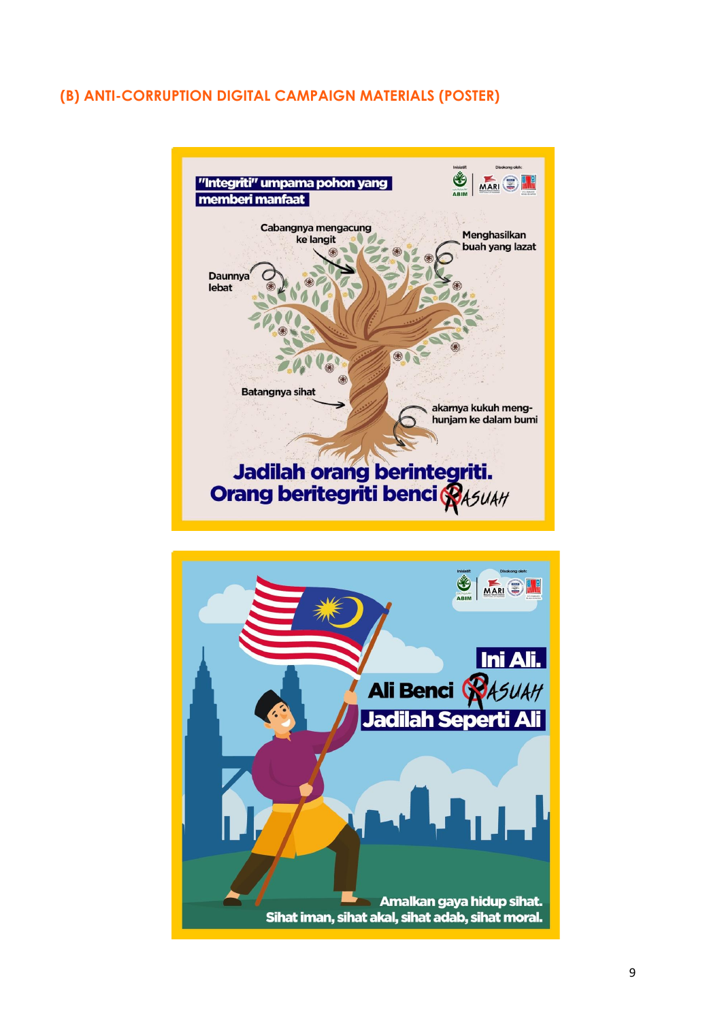# **(B) ANTI-CORRUPTION DIGITAL CAMPAIGN MATERIALS (POSTER)**

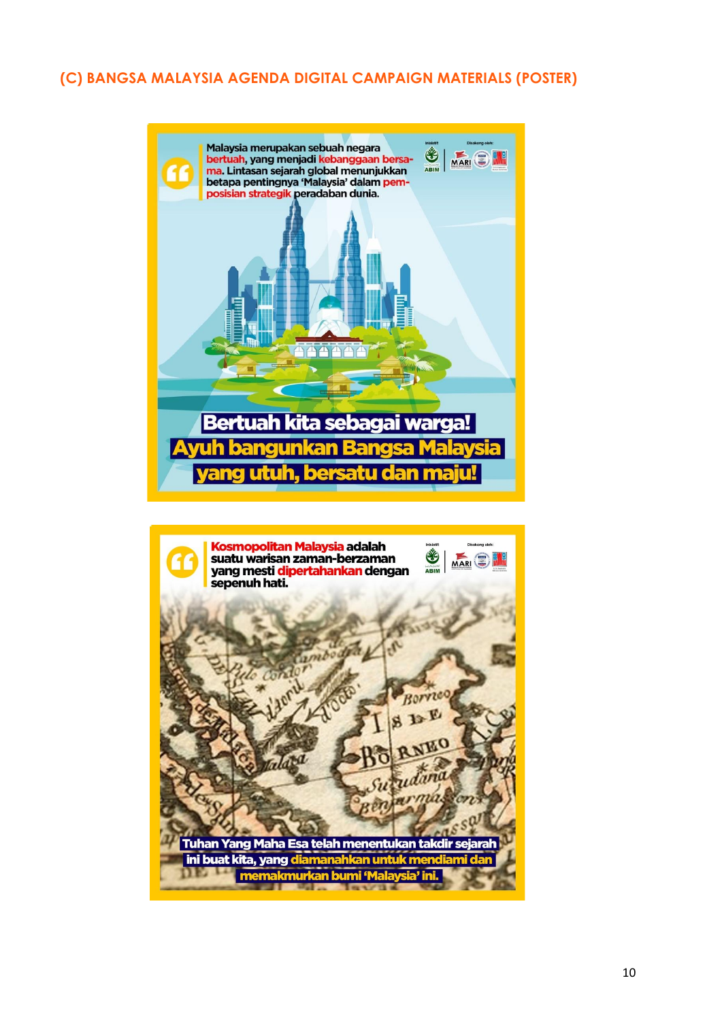# **(C) BANGSA MALAYSIA AGENDA DIGITAL CAMPAIGN MATERIALS (POSTER)**